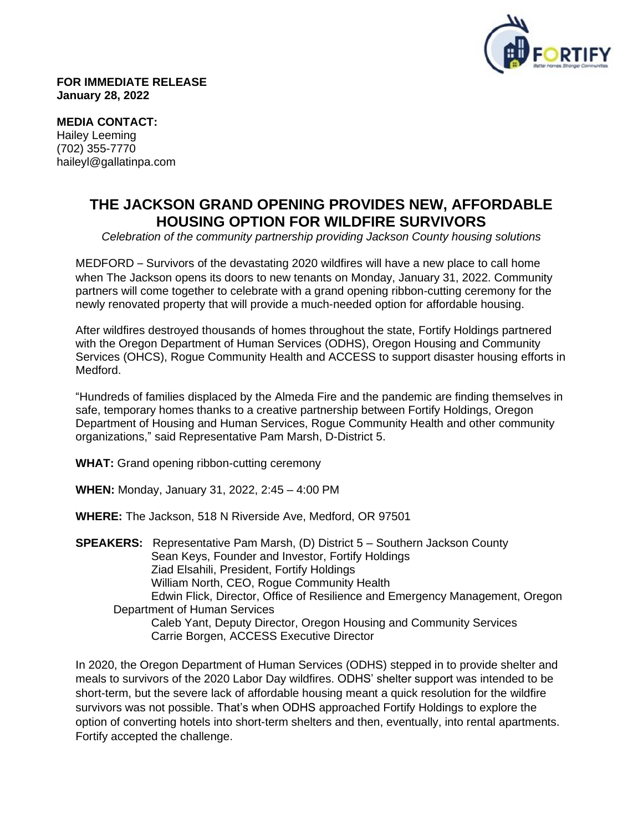

**FOR IMMEDIATE RELEASE January 28, 2022**

**MEDIA CONTACT:** Hailey Leeming (702) 355-7770 haileyl@gallatinpa.com

## **THE JACKSON GRAND OPENING PROVIDES NEW, AFFORDABLE HOUSING OPTION FOR WILDFIRE SURVIVORS**

*Celebration of the community partnership providing Jackson County housing solutions*

MEDFORD – Survivors of the devastating 2020 wildfires will have a new place to call home when The Jackson opens its doors to new tenants on Monday, January 31, 2022. Community partners will come together to celebrate with a grand opening ribbon-cutting ceremony for the newly renovated property that will provide a much-needed option for affordable housing.

After wildfires destroyed thousands of homes throughout the state, Fortify Holdings partnered with the Oregon Department of Human Services (ODHS), Oregon Housing and Community Services (OHCS), Rogue Community Health and ACCESS to support disaster housing efforts in Medford.

"Hundreds of families displaced by the Almeda Fire and the pandemic are finding themselves in safe, temporary homes thanks to a creative partnership between Fortify Holdings, Oregon Department of Housing and Human Services, Rogue Community Health and other community organizations," said Representative Pam Marsh, D-District 5.

**WHAT:** Grand opening ribbon-cutting ceremony

**WHEN:** Monday, January 31, 2022, 2:45 – 4:00 PM

**WHERE:** The Jackson, 518 N Riverside Ave, Medford, OR 97501

**SPEAKERS:** Representative Pam Marsh, (D) District 5 – Southern Jackson County Sean Keys, Founder and Investor, Fortify Holdings Ziad Elsahili, President, Fortify Holdings William North, CEO, Rogue Community Health Edwin Flick, Director, Office of Resilience and Emergency Management, Oregon Department of Human Services Caleb Yant, Deputy Director, Oregon Housing and Community Services Carrie Borgen, ACCESS Executive Director

In 2020, the Oregon Department of Human Services (ODHS) stepped in to provide shelter and meals to survivors of the 2020 Labor Day wildfires. ODHS' shelter support was intended to be short-term, but the severe lack of affordable housing meant a quick resolution for the wildfire survivors was not possible. That's when ODHS approached Fortify Holdings to explore the option of converting hotels into short-term shelters and then, eventually, into rental apartments. Fortify accepted the challenge.